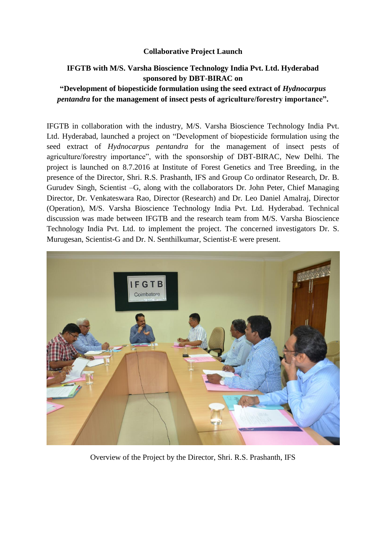## **Collaborative Project Launch**

## **IFGTB with M/S. Varsha Bioscience Technology India Pvt. Ltd. Hyderabad sponsored by DBT-BIRAC on "Development of biopesticide formulation using the seed extract of** *Hydnocarpus pentandra* **for the management of insect pests of agriculture/forestry importance".**

IFGTB in collaboration with the industry, M/S. Varsha Bioscience Technology India Pvt. Ltd. Hyderabad, launched a project on "Development of biopesticide formulation using the seed extract of *Hydnocarpus pentandra* for the management of insect pests of agriculture/forestry importance", with the sponsorship of DBT-BIRAC, New Delhi. The project is launched on 8.7.2016 at Institute of Forest Genetics and Tree Breeding, in the presence of the Director, Shri. R.S. Prashanth, IFS and Group Co ordinator Research, Dr. B. Gurudev Singh, Scientist –G, along with the collaborators Dr. John Peter, Chief Managing Director, Dr. Venkateswara Rao, Director (Research) and Dr. Leo Daniel Amalraj, Director (Operation), M/S. Varsha Bioscience Technology India Pvt. Ltd. Hyderabad. Technical discussion was made between IFGTB and the research team from M/S. Varsha Bioscience Technology India Pvt. Ltd. to implement the project. The concerned investigators Dr. S. Murugesan, Scientist-G and Dr. N. Senthilkumar, Scientist-E were present.



Overview of the Project by the Director, Shri. R.S. Prashanth, IFS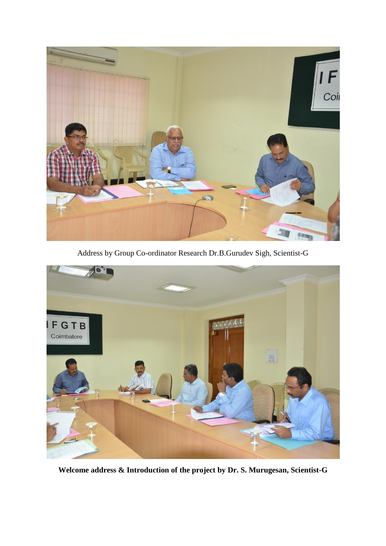

Address by Group Co-ordinator Research Dr.B.Gurudev Sigh, Scientist-G



**Welcome address & Introduction of the project by Dr. S. Murugesan, Scientist-G**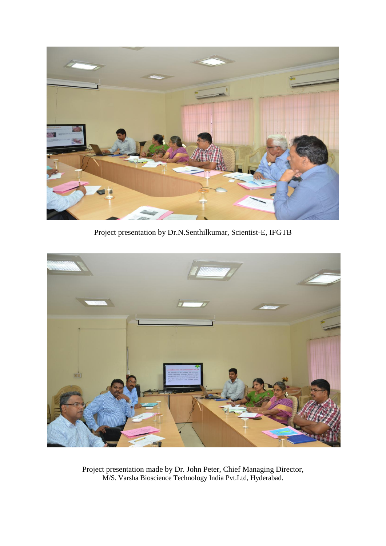

Project presentation by Dr.N.Senthilkumar, Scientist-E, IFGTB



Project presentation made by Dr. John Peter, Chief Managing Director, M/S. Varsha Bioscience Technology India Pvt.Ltd, Hyderabad.